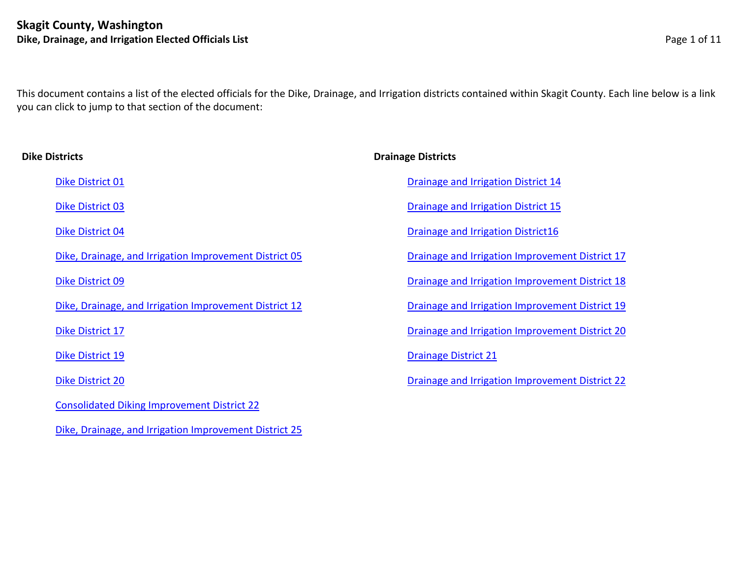[Dike, Drainage, and Irrigation Improvement District 25](#page-6-0)

<span id="page-0-0"></span>This document contains a list of the elected officials for the Dike, Drainage, and Irrigation districts contained within Skagit County. Each line below is a link you can click to jump to that section of the document:

| <b>Dike Districts</b>                                  | <b>Drainage Districts</b>                              |
|--------------------------------------------------------|--------------------------------------------------------|
| Dike District 01                                       | <b>Drainage and Irrigation District 14</b>             |
| Dike District 03                                       | <b>Drainage and Irrigation District 15</b>             |
| Dike District 04                                       | <b>Drainage and Irrigation District16</b>              |
| Dike, Drainage, and Irrigation Improvement District 05 | Drainage and Irrigation Improvement District 17        |
| Dike District 09                                       | <b>Drainage and Irrigation Improvement District 18</b> |
| Dike, Drainage, and Irrigation Improvement District 12 | <b>Drainage and Irrigation Improvement District 19</b> |
| Dike District 17                                       | Drainage and Irrigation Improvement District 20        |
| <b>Dike District 19</b>                                | <b>Drainage District 21</b>                            |
| <b>Dike District 20</b>                                | <b>Drainage and Irrigation Improvement District 22</b> |
| <b>Consolidated Diking Improvement District 22</b>     |                                                        |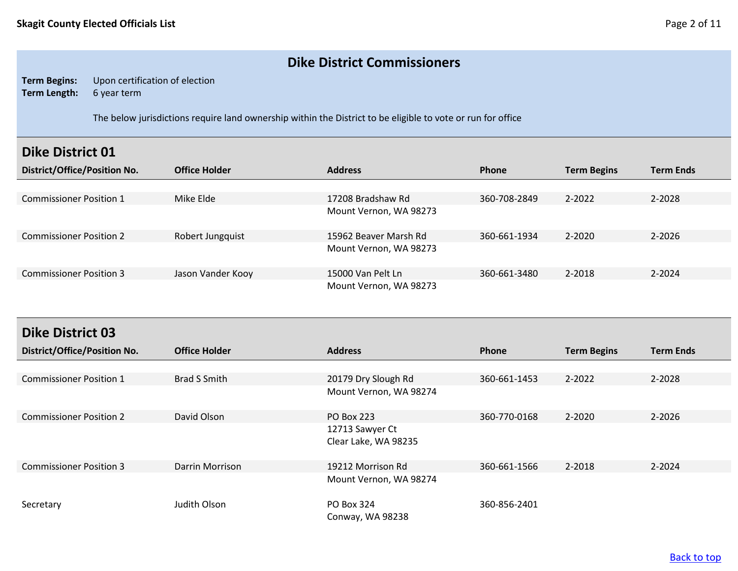### **Dike District Commissioners**

**Term Begins:** Upon certification of election **Term Length:** 6 year term

The below jurisdictions require land ownership within the District to be eligible to vote or run for office

### <span id="page-1-0"></span>**Dike District 01**

| District/Office/Position No.   | <b>Office Holder</b> | <b>Address</b>         | <b>Phone</b> | <b>Term Begins</b> | <b>Term Ends</b> |
|--------------------------------|----------------------|------------------------|--------------|--------------------|------------------|
|                                |                      |                        |              |                    |                  |
| <b>Commissioner Position 1</b> | Mike Elde            | 17208 Bradshaw Rd      | 360-708-2849 | 2-2022             | 2-2028           |
|                                |                      | Mount Vernon, WA 98273 |              |                    |                  |
| <b>Commissioner Position 2</b> | Robert Jungquist     | 15962 Beaver Marsh Rd  | 360-661-1934 | 2-2020             | 2-2026           |
|                                |                      | Mount Vernon, WA 98273 |              |                    |                  |
| <b>Commissioner Position 3</b> | Jason Vander Kooy    | 15000 Van Pelt Ln      | 360-661-3480 | 2-2018             | 2-2024           |
|                                |                      | Mount Vernon, WA 98273 |              |                    |                  |

<span id="page-1-1"></span>

| <b>Dike District 03</b>             |                      |                                         |              |                    |                  |
|-------------------------------------|----------------------|-----------------------------------------|--------------|--------------------|------------------|
| <b>District/Office/Position No.</b> | <b>Office Holder</b> | <b>Address</b>                          | Phone        | <b>Term Begins</b> | <b>Term Ends</b> |
|                                     |                      |                                         |              |                    |                  |
| <b>Commissioner Position 1</b>      | <b>Brad S Smith</b>  | 20179 Dry Slough Rd                     | 360-661-1453 | 2-2022             | 2-2028           |
|                                     |                      | Mount Vernon, WA 98274                  |              |                    |                  |
| <b>Commissioner Position 2</b>      | David Olson          | <b>PO Box 223</b>                       | 360-770-0168 | $2 - 2020$         | $2 - 2026$       |
|                                     |                      | 12713 Sawyer Ct<br>Clear Lake, WA 98235 |              |                    |                  |
| <b>Commissioner Position 3</b>      | Darrin Morrison      | 19212 Morrison Rd                       | 360-661-1566 | 2-2018             | $2 - 2024$       |
|                                     |                      | Mount Vernon, WA 98274                  |              |                    |                  |
| Secretary                           | Judith Olson         | PO Box 324<br>Conway, WA 98238          | 360-856-2401 |                    |                  |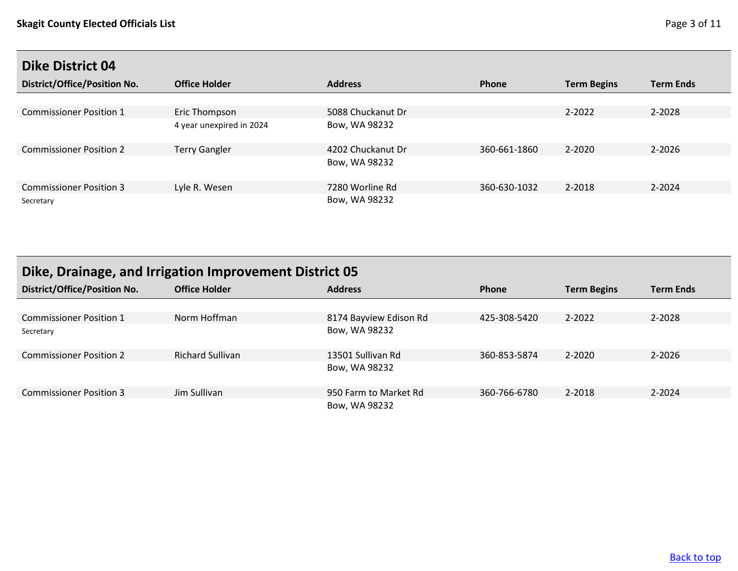<span id="page-2-0"></span>

| District/Office/Position No.   | <b>Office Holder</b>     | <b>Address</b>    | Phone        | <b>Term Begins</b> | <b>Term Ends</b> |
|--------------------------------|--------------------------|-------------------|--------------|--------------------|------------------|
|                                |                          |                   |              |                    |                  |
| <b>Commissioner Position 1</b> | Eric Thompson            | 5088 Chuckanut Dr |              | $2 - 2022$         | 2-2028           |
|                                | 4 year unexpired in 2024 | Bow, WA 98232     |              |                    |                  |
| <b>Commissioner Position 2</b> | <b>Terry Gangler</b>     | 4202 Chuckanut Dr | 360-661-1860 | $2 - 2020$         | $2 - 2026$       |
|                                |                          | Bow, WA 98232     |              |                    |                  |
| <b>Commissioner Position 3</b> | Lyle R. Wesen            | 7280 Worline Rd   | 360-630-1032 | 2-2018             | $2 - 2024$       |
| Secretary                      |                          | Bow, WA 98232     |              |                    |                  |

# <span id="page-2-1"></span>**Dike, Drainage, and Irrigation Improvement District 05**

| <b>District/Office/Position No.</b> | <b>Office Holder</b>    | <b>Address</b>         | Phone        | <b>Term Begins</b> | <b>Term Ends</b> |
|-------------------------------------|-------------------------|------------------------|--------------|--------------------|------------------|
|                                     |                         |                        |              |                    |                  |
| <b>Commissioner Position 1</b>      | Norm Hoffman            | 8174 Bayview Edison Rd | 425-308-5420 | 2-2022             | 2-2028           |
| Secretary                           |                         | Bow, WA 98232          |              |                    |                  |
| <b>Commissioner Position 2</b>      | <b>Richard Sullivan</b> | 13501 Sullivan Rd      | 360-853-5874 | 2-2020             | $2 - 2026$       |
|                                     |                         | Bow, WA 98232          |              |                    |                  |
| <b>Commissioner Position 3</b>      | Jim Sullivan            | 950 Farm to Market Rd  | 360-766-6780 | 2-2018             | 2-2024           |
|                                     |                         | Bow, WA 98232          |              |                    |                  |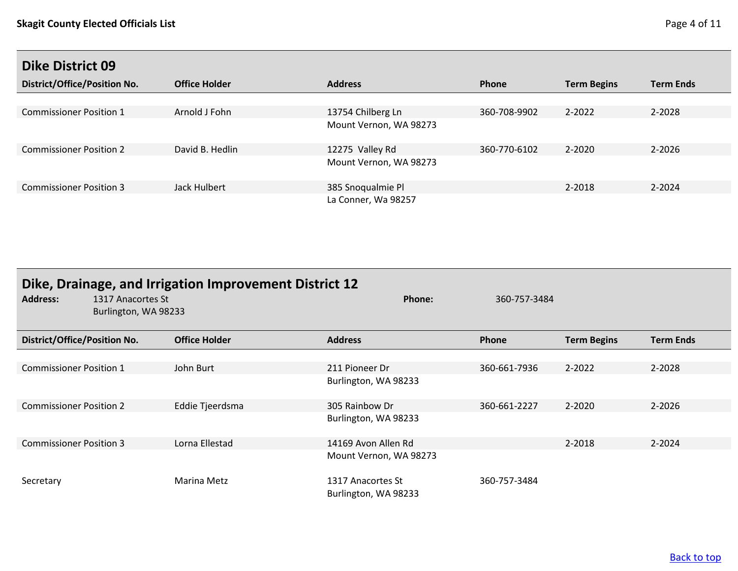<span id="page-3-0"></span>

| District/Office/Position No.   | <b>Office Holder</b> | <b>Address</b>         | <b>Phone</b> | <b>Term Begins</b> | <b>Term Ends</b> |
|--------------------------------|----------------------|------------------------|--------------|--------------------|------------------|
|                                |                      |                        |              |                    |                  |
| <b>Commissioner Position 1</b> | Arnold J Fohn        | 13754 Chilberg Ln      | 360-708-9902 | 2-2022             | 2-2028           |
|                                |                      | Mount Vernon, WA 98273 |              |                    |                  |
| <b>Commissioner Position 2</b> | David B. Hedlin      | 12275 Valley Rd        | 360-770-6102 | 2-2020             | 2-2026           |
|                                |                      | Mount Vernon, WA 98273 |              |                    |                  |
| <b>Commissioner Position 3</b> | Jack Hulbert         | 385 Snoqualmie Pl      |              | 2-2018             | 2-2024           |
|                                |                      | La Conner, Wa 98257    |              |                    |                  |

<span id="page-3-1"></span>

| <b>Address:</b>                     | 1317 Anacortes St<br>Burlington, WA 98233 | Dike, Drainage, and Irrigation Improvement District 12 | Phone:                                    | 360-757-3484 |                    |                  |
|-------------------------------------|-------------------------------------------|--------------------------------------------------------|-------------------------------------------|--------------|--------------------|------------------|
| <b>District/Office/Position No.</b> |                                           | <b>Office Holder</b>                                   | <b>Address</b>                            | Phone        | <b>Term Begins</b> | <b>Term Ends</b> |
|                                     |                                           |                                                        |                                           |              |                    |                  |
| <b>Commissioner Position 1</b>      |                                           | John Burt                                              | 211 Pioneer Dr                            | 360-661-7936 | $2 - 2022$         | 2-2028           |
|                                     |                                           |                                                        | Burlington, WA 98233                      |              |                    |                  |
| <b>Commissioner Position 2</b>      |                                           | Eddie Tjeerdsma                                        | 305 Rainbow Dr                            | 360-661-2227 | $2 - 2020$         | $2 - 2026$       |
|                                     |                                           |                                                        | Burlington, WA 98233                      |              |                    |                  |
| <b>Commissioner Position 3</b>      |                                           | Lorna Ellestad                                         | 14169 Avon Allen Rd                       |              | 2-2018             | 2-2024           |
|                                     |                                           |                                                        | Mount Vernon, WA 98273                    |              |                    |                  |
| Secretary                           |                                           | Marina Metz                                            | 1317 Anacortes St<br>Burlington, WA 98233 | 360-757-3484 |                    |                  |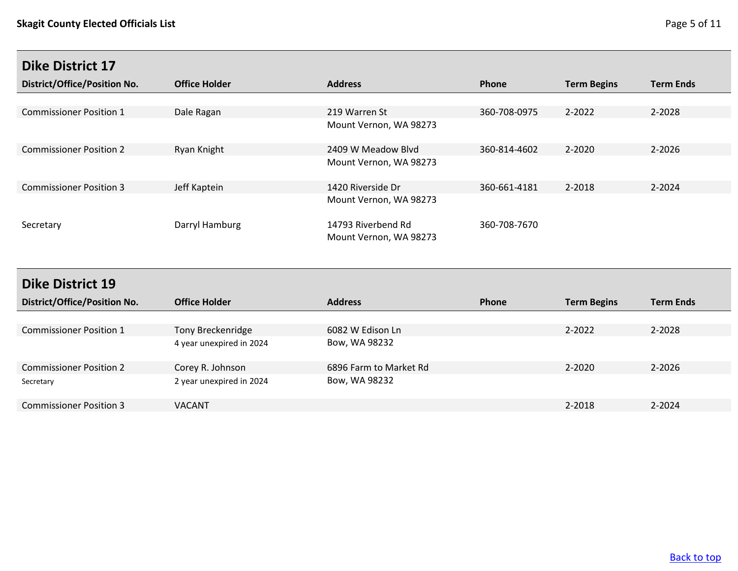<span id="page-4-0"></span>

| <b>District/Office/Position No.</b> | <b>Office Holder</b> | <b>Address</b>                               | <b>Phone</b> | <b>Term Begins</b> | <b>Term Ends</b> |
|-------------------------------------|----------------------|----------------------------------------------|--------------|--------------------|------------------|
|                                     |                      |                                              |              |                    |                  |
| <b>Commissioner Position 1</b>      | Dale Ragan           | 219 Warren St                                | 360-708-0975 | 2-2022             | 2-2028           |
|                                     |                      | Mount Vernon, WA 98273                       |              |                    |                  |
| <b>Commissioner Position 2</b>      | Ryan Knight          | 2409 W Meadow Blvd                           | 360-814-4602 | 2-2020             | 2-2026           |
|                                     |                      | Mount Vernon, WA 98273                       |              |                    |                  |
| <b>Commissioner Position 3</b>      | Jeff Kaptein         | 1420 Riverside Dr                            | 360-661-4181 | 2-2018             | $2 - 2024$       |
|                                     |                      | Mount Vernon, WA 98273                       |              |                    |                  |
| Secretary                           | Darryl Hamburg       | 14793 Riverbend Rd<br>Mount Vernon, WA 98273 | 360-708-7670 |                    |                  |

# <span id="page-4-1"></span>**Dike District 19**

| <b>District/Office/Position No.</b> | <b>Office Holder</b>     | <b>Address</b>         | <b>Phone</b> | <b>Term Begins</b> | <b>Term Ends</b> |
|-------------------------------------|--------------------------|------------------------|--------------|--------------------|------------------|
|                                     |                          |                        |              |                    |                  |
| <b>Commissioner Position 1</b>      | Tony Breckenridge        | 6082 W Edison Ln       |              | 2-2022             | 2-2028           |
|                                     | 4 year unexpired in 2024 | Bow, WA 98232          |              |                    |                  |
| <b>Commissioner Position 2</b>      | Corey R. Johnson         | 6896 Farm to Market Rd |              | 2-2020             | 2-2026           |
| Secretary                           | 2 year unexpired in 2024 | Bow, WA 98232          |              |                    |                  |
| <b>Commissioner Position 3</b>      | <b>VACANT</b>            |                        |              | 2-2018             | 2-2024           |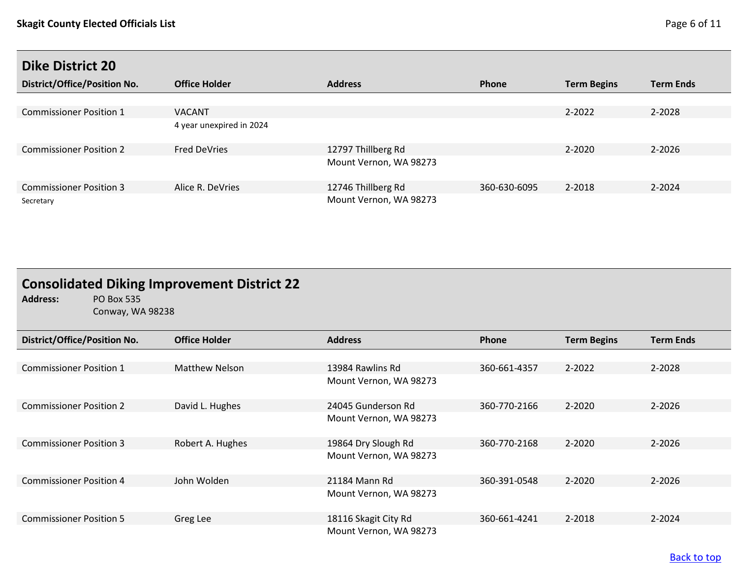<span id="page-5-0"></span>

| <b>District/Office/Position No.</b> | <b>Office Holder</b>     | <b>Address</b>         | Phone        | <b>Term Begins</b> | <b>Term Ends</b> |
|-------------------------------------|--------------------------|------------------------|--------------|--------------------|------------------|
|                                     |                          |                        |              |                    |                  |
| <b>Commissioner Position 1</b>      | <b>VACANT</b>            |                        |              | 2-2022             | 2-2028           |
|                                     | 4 year unexpired in 2024 |                        |              |                    |                  |
| <b>Commissioner Position 2</b>      | <b>Fred DeVries</b>      | 12797 Thillberg Rd     |              | 2-2020             | 2-2026           |
|                                     |                          | Mount Vernon, WA 98273 |              |                    |                  |
| <b>Commissioner Position 3</b>      | Alice R. DeVries         | 12746 Thillberg Rd     | 360-630-6095 | 2-2018             | $2 - 2024$       |
| Secretary                           |                          | Mount Vernon, WA 98273 |              |                    |                  |

# <span id="page-5-1"></span>**Consolidated Diking Improvement District 22**<br>Address: PO Box 535

**Address:** PO Box 535 Conway, WA 98238

| <b>District/Office/Position No.</b> | <b>Office Holder</b>  | <b>Address</b>         | Phone        | <b>Term Begins</b> | Term Ends  |
|-------------------------------------|-----------------------|------------------------|--------------|--------------------|------------|
|                                     |                       |                        |              |                    |            |
| <b>Commissioner Position 1</b>      | <b>Matthew Nelson</b> | 13984 Rawlins Rd       | 360-661-4357 | 2-2022             | 2-2028     |
|                                     |                       | Mount Vernon, WA 98273 |              |                    |            |
| <b>Commissioner Position 2</b>      | David L. Hughes       | 24045 Gunderson Rd     | 360-770-2166 | $2 - 2020$         | $2 - 2026$ |
|                                     |                       | Mount Vernon, WA 98273 |              |                    |            |
| <b>Commissioner Position 3</b>      | Robert A. Hughes      | 19864 Dry Slough Rd    | 360-770-2168 | $2 - 2020$         | $2 - 2026$ |
|                                     |                       | Mount Vernon, WA 98273 |              |                    |            |
| <b>Commissioner Position 4</b>      | John Wolden           | 21184 Mann Rd          | 360-391-0548 | $2 - 2020$         | 2-2026     |
|                                     |                       | Mount Vernon, WA 98273 |              |                    |            |
| <b>Commissioner Position 5</b>      | Greg Lee              | 18116 Skagit City Rd   | 360-661-4241 | 2-2018             | 2-2024     |
|                                     |                       | Mount Vernon, WA 98273 |              |                    |            |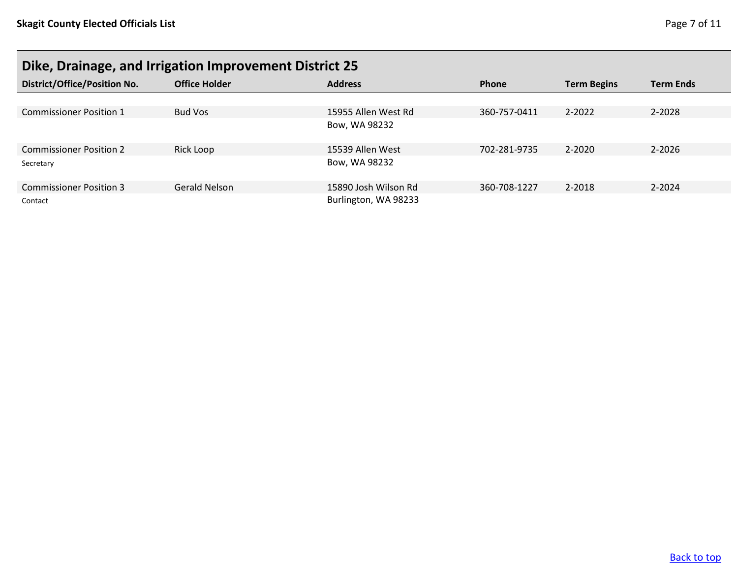# <span id="page-6-0"></span>**Dike, Drainage, and Irrigation Improvement District 25**

| <b>District/Office/Position No.</b> | <b>Office Holder</b> | <b>Address</b>       | <b>Phone</b> | <b>Term Begins</b> | <b>Term Ends</b> |
|-------------------------------------|----------------------|----------------------|--------------|--------------------|------------------|
|                                     |                      |                      |              |                    |                  |
| <b>Commissioner Position 1</b>      | <b>Bud Vos</b>       | 15955 Allen West Rd  | 360-757-0411 | 2-2022             | 2-2028           |
|                                     |                      | Bow, WA 98232        |              |                    |                  |
| <b>Commissioner Position 2</b>      | Rick Loop            | 15539 Allen West     | 702-281-9735 | $2 - 2020$         | 2-2026           |
| Secretary                           |                      | Bow, WA 98232        |              |                    |                  |
| <b>Commissioner Position 3</b>      | <b>Gerald Nelson</b> | 15890 Josh Wilson Rd | 360-708-1227 | 2-2018             | $2 - 2024$       |
| Contact                             |                      | Burlington, WA 98233 |              |                    |                  |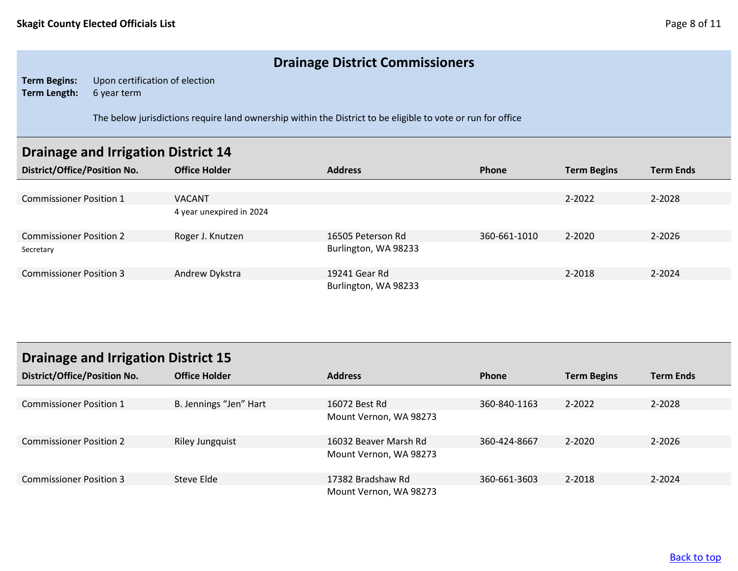## **Drainage District Commissioners**

**Term Begins:** Upon certification of election **Term Length:** 6 year term

The below jurisdictions require land ownership within the District to be eligible to vote or run for office

### <span id="page-7-0"></span>**Drainage and Irrigation District 14**

| <b>District/Office/Position No.</b> | <b>Office Holder</b>     | <b>Address</b>       | Phone        | <b>Term Begins</b> | <b>Term Ends</b> |
|-------------------------------------|--------------------------|----------------------|--------------|--------------------|------------------|
|                                     |                          |                      |              |                    |                  |
| <b>Commissioner Position 1</b>      | <b>VACANT</b>            |                      |              | 2-2022             | 2-2028           |
|                                     | 4 year unexpired in 2024 |                      |              |                    |                  |
| <b>Commissioner Position 2</b>      | Roger J. Knutzen         | 16505 Peterson Rd    | 360-661-1010 | 2-2020             | $2 - 2026$       |
| Secretary                           |                          | Burlington, WA 98233 |              |                    |                  |
| <b>Commissioner Position 3</b>      | Andrew Dykstra           | 19241 Gear Rd        |              | 2-2018             | 2-2024           |
|                                     |                          | Burlington, WA 98233 |              |                    |                  |

<span id="page-7-1"></span>

| <b>Drainage and Irrigation District 15</b> |                        |                        |              |                    |                  |
|--------------------------------------------|------------------------|------------------------|--------------|--------------------|------------------|
| <b>District/Office/Position No.</b>        | <b>Office Holder</b>   | <b>Address</b>         | <b>Phone</b> | <b>Term Begins</b> | <b>Term Ends</b> |
|                                            |                        |                        |              |                    |                  |
| <b>Commissioner Position 1</b>             | B. Jennings "Jen" Hart | 16072 Best Rd          | 360-840-1163 | 2-2022             | 2-2028           |
|                                            |                        | Mount Vernon, WA 98273 |              |                    |                  |
| <b>Commissioner Position 2</b>             | <b>Riley Jungquist</b> | 16032 Beaver Marsh Rd  | 360-424-8667 | 2-2020             | 2-2026           |
|                                            |                        | Mount Vernon, WA 98273 |              |                    |                  |
| <b>Commissioner Position 3</b>             | Steve Elde             | 17382 Bradshaw Rd      | 360-661-3603 | 2-2018             | 2-2024           |
|                                            |                        | Mount Vernon, WA 98273 |              |                    |                  |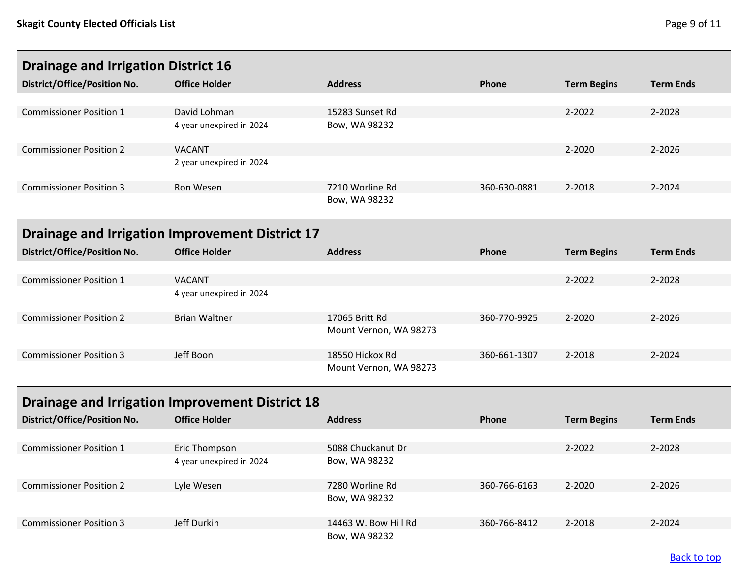<span id="page-8-1"></span><span id="page-8-0"></span>

| <b>Drainage and Irrigation District 16</b>      |                          |                        |              |                    |                  |
|-------------------------------------------------|--------------------------|------------------------|--------------|--------------------|------------------|
| <b>District/Office/Position No.</b>             | <b>Office Holder</b>     | <b>Address</b>         | <b>Phone</b> | <b>Term Begins</b> | <b>Term Ends</b> |
|                                                 |                          |                        |              |                    |                  |
| <b>Commissioner Position 1</b>                  | David Lohman             | 15283 Sunset Rd        |              | 2-2022             | 2-2028           |
|                                                 | 4 year unexpired in 2024 | Bow, WA 98232          |              |                    |                  |
| <b>Commissioner Position 2</b>                  | <b>VACANT</b>            |                        |              | 2-2020             | 2-2026           |
|                                                 | 2 year unexpired in 2024 |                        |              |                    |                  |
| <b>Commissioner Position 3</b>                  | <b>Ron Wesen</b>         | 7210 Worline Rd        | 360-630-0881 | 2-2018             | 2-2024           |
|                                                 |                          | Bow, WA 98232          |              |                    |                  |
| Drainage and Irrigation Improvement District 17 |                          |                        |              |                    |                  |
|                                                 |                          |                        |              |                    |                  |
| District/Office/Position No.                    | <b>Office Holder</b>     | <b>Address</b>         | Phone        | <b>Term Begins</b> | <b>Term Ends</b> |
|                                                 |                          |                        |              |                    |                  |
| <b>Commissioner Position 1</b>                  | <b>VACANT</b>            |                        |              | 2-2022             | 2-2028           |
|                                                 | 4 year unexpired in 2024 |                        |              |                    |                  |
| <b>Commissioner Position 2</b>                  | <b>Brian Waltner</b>     | 17065 Britt Rd         | 360-770-9925 | 2-2020             | 2-2026           |
|                                                 |                          | Mount Vernon, WA 98273 |              |                    |                  |
| <b>Commissioner Position 3</b>                  | Jeff Boon                | 18550 Hickox Rd        | 360-661-1307 | 2-2018             | $2 - 2024$       |

# <span id="page-8-2"></span>**Drainage and Irrigation Improvement District 18**

| <b>District/Office/Position No.</b> | <b>Office Holder</b>     | <b>Address</b>       | Phone        | <b>Term Begins</b> | <b>Term Ends</b> |
|-------------------------------------|--------------------------|----------------------|--------------|--------------------|------------------|
|                                     |                          |                      |              |                    |                  |
| <b>Commissioner Position 1</b>      | Eric Thompson            | 5088 Chuckanut Dr    |              | $2 - 2022$         | 2-2028           |
|                                     | 4 year unexpired in 2024 | Bow, WA 98232        |              |                    |                  |
| <b>Commissioner Position 2</b>      | Lyle Wesen               | 7280 Worline Rd      | 360-766-6163 | $2 - 2020$         | 2-2026           |
|                                     |                          | Bow, WA 98232        |              |                    |                  |
| <b>Commissioner Position 3</b>      | Jeff Durkin              | 14463 W. Bow Hill Rd | 360-766-8412 | 2-2018             | $2 - 2024$       |
|                                     |                          | Bow, WA 98232        |              |                    |                  |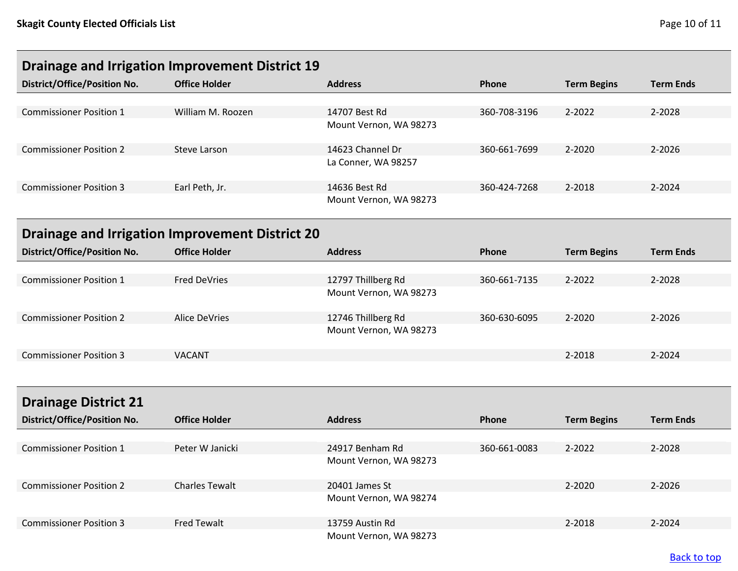<span id="page-9-1"></span><span id="page-9-0"></span>

| <b>Drainage and Irrigation Improvement District 19</b> |                                                        |                        |              |                    |                  |  |
|--------------------------------------------------------|--------------------------------------------------------|------------------------|--------------|--------------------|------------------|--|
| <b>District/Office/Position No.</b>                    | <b>Office Holder</b>                                   | <b>Address</b>         | Phone        | <b>Term Begins</b> | <b>Term Ends</b> |  |
|                                                        |                                                        |                        |              |                    |                  |  |
| <b>Commissioner Position 1</b>                         | William M. Roozen                                      | 14707 Best Rd          | 360-708-3196 | 2-2022             | 2-2028           |  |
|                                                        |                                                        | Mount Vernon, WA 98273 |              |                    |                  |  |
| <b>Commissioner Position 2</b>                         | <b>Steve Larson</b>                                    | 14623 Channel Dr       | 360-661-7699 | 2-2020             | 2-2026           |  |
|                                                        |                                                        | La Conner, WA 98257    |              |                    |                  |  |
| <b>Commissioner Position 3</b>                         | Earl Peth, Jr.                                         | 14636 Best Rd          | 360-424-7268 | 2-2018             | 2-2024           |  |
|                                                        |                                                        | Mount Vernon, WA 98273 |              |                    |                  |  |
|                                                        | <b>Drainage and Irrigation Improvement District 20</b> |                        |              |                    |                  |  |
| District/Office/Position No.                           | <b>Office Holder</b>                                   | <b>Address</b>         | Phone        | <b>Term Begins</b> | <b>Term Ends</b> |  |
|                                                        |                                                        |                        |              |                    |                  |  |
| <b>Commissioner Position 1</b>                         | <b>Fred DeVries</b>                                    | 12797 Thillberg Rd     | 360-661-7135 | 2-2022             | 2-2028           |  |
|                                                        |                                                        | Mount Vernon, WA 98273 |              |                    |                  |  |
|                                                        |                                                        |                        |              |                    |                  |  |
| <b>Commissioner Position 2</b>                         | <b>Alice DeVries</b>                                   | 12746 Thillberg Rd     | 360-630-6095 | 2-2020             | 2-2026           |  |
|                                                        |                                                        | Mount Vernon, WA 98273 |              |                    |                  |  |
| <b>Commissioner Position 3</b>                         | <b>VACANT</b>                                          |                        |              | 2-2018             | 2-2024           |  |
|                                                        |                                                        |                        |              |                    |                  |  |
| <b>Drainage District 21</b>                            |                                                        |                        |              |                    |                  |  |
| District/Office/Position No.                           | <b>Office Holder</b>                                   | <b>Address</b>         | Phone        |                    | <b>Term Ends</b> |  |
|                                                        |                                                        |                        |              | <b>Term Begins</b> |                  |  |
| <b>Commissioner Position 1</b>                         | Peter W Janicki                                        | 24917 Benham Rd        | 360-661-0083 | 2-2022             | 2-2028           |  |
|                                                        |                                                        | Mount Vernon, WA 98273 |              |                    |                  |  |
|                                                        |                                                        |                        |              |                    |                  |  |
| <b>Commissioner Position 2</b>                         | <b>Charles Tewalt</b>                                  | 20401 James St         |              | 2-2020             | 2-2026           |  |
|                                                        |                                                        | Mount Vernon, WA 98274 |              |                    |                  |  |

<span id="page-9-2"></span>Commissioner Position 3 Fred Tewalt 13759 Austin Rd 2-2018 2-2024

Mount Vernon, WA 98273

### [Back to top](#page-0-0)